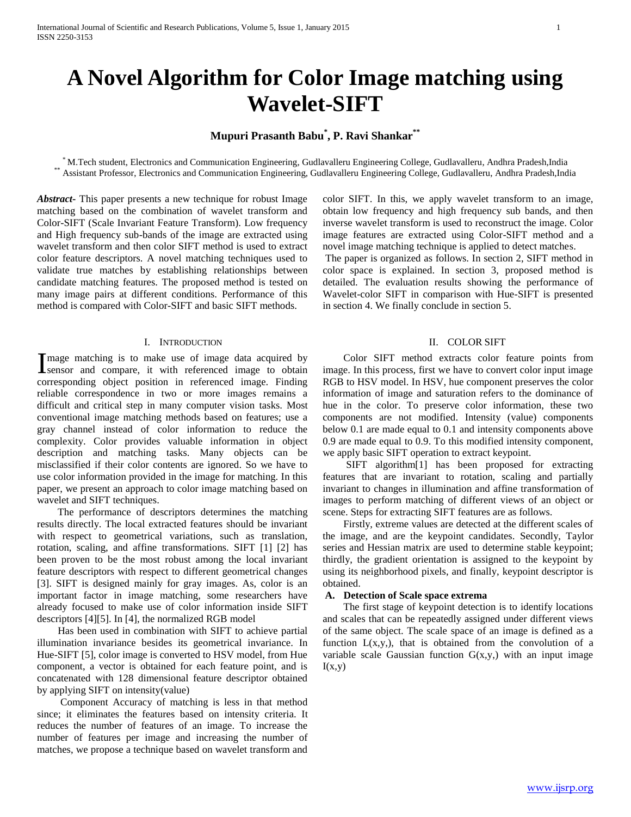# **A Novel Algorithm for Color Image matching using Wavelet-SIFT**

## **Mupuri Prasanth Babu\* , P. Ravi Shankar\*\***

\* M.Tech student, Electronics and Communication Engineering, Gudlavalleru Engineering College, Gudlavalleru, Andhra Pradesh,India \*\* Assistant Professor, Electronics and Communication Engineering, Gudlavalleru Engineering College, Gudlavalleru, Andhra Pradesh,India

*Abstract***-** This paper presents a new technique for robust Image matching based on the combination of wavelet transform and Color-SIFT (Scale Invariant Feature Transform). Low frequency and High frequency sub-bands of the image are extracted using wavelet transform and then color SIFT method is used to extract color feature descriptors. A novel matching techniques used to validate true matches by establishing relationships between candidate matching features. The proposed method is tested on many image pairs at different conditions. Performance of this method is compared with Color-SIFT and basic SIFT methods.

#### I. INTRODUCTION

mage matching is to make use of image data acquired by I mage matching is to make use of image data acquired by<br>
I sensor and compare, it with referenced image to obtain corresponding object position in referenced image. Finding reliable correspondence in two or more images remains a difficult and critical step in many computer vision tasks. Most conventional image matching methods based on features; use a gray channel instead of color information to reduce the complexity. Color provides valuable information in object description and matching tasks. Many objects can be misclassified if their color contents are ignored. So we have to use color information provided in the image for matching. In this paper, we present an approach to color image matching based on wavelet and SIFT techniques.

 The performance of descriptors determines the matching results directly. The local extracted features should be invariant with respect to geometrical variations, such as translation, rotation, scaling, and affine transformations. SIFT [1] [2] has been proven to be the most robust among the local invariant feature descriptors with respect to different geometrical changes [3]. SIFT is designed mainly for gray images. As, color is an important factor in image matching, some researchers have already focused to make use of color information inside SIFT descriptors [4][5]. In [4], the normalized RGB model

 Has been used in combination with SIFT to achieve partial illumination invariance besides its geometrical invariance. In Hue-SIFT [5], color image is converted to HSV model, from Hue component, a vector is obtained for each feature point, and is concatenated with 128 dimensional feature descriptor obtained by applying SIFT on intensity(value)

 Component Accuracy of matching is less in that method since; it eliminates the features based on intensity criteria. It reduces the number of features of an image. To increase the number of features per image and increasing the number of matches, we propose a technique based on wavelet transform and color SIFT. In this, we apply wavelet transform to an image, obtain low frequency and high frequency sub bands, and then inverse wavelet transform is used to reconstruct the image. Color image features are extracted using Color-SIFT method and a novel image matching technique is applied to detect matches.

The paper is organized as follows. In section 2, SIFT method in color space is explained. In section 3, proposed method is detailed. The evaluation results showing the performance of Wavelet-color SIFT in comparison with Hue-SIFT is presented in section 4. We finally conclude in section 5.

#### II. COLOR SIFT

 Color SIFT method extracts color feature points from image. In this process, first we have to convert color input image RGB to HSV model. In HSV, hue component preserves the color information of image and saturation refers to the dominance of hue in the color. To preserve color information, these two components are not modified. Intensity (value) components below 0.1 are made equal to 0.1 and intensity components above 0.9 are made equal to 0.9. To this modified intensity component, we apply basic SIFT operation to extract keypoint.

 SIFT algorithm[1] has been proposed for extracting features that are invariant to rotation, scaling and partially invariant to changes in illumination and affine transformation of images to perform matching of different views of an object or scene. Steps for extracting SIFT features are as follows.

 Firstly, extreme values are detected at the different scales of the image, and are the keypoint candidates. Secondly, Taylor series and Hessian matrix are used to determine stable keypoint; thirdly, the gradient orientation is assigned to the keypoint by using its neighborhood pixels, and finally, keypoint descriptor is obtained.

## **A. Detection of Scale space extrema**

 The first stage of keypoint detection is to identify locations and scales that can be repeatedly assigned under different views of the same object. The scale space of an image is defined as a function  $L(x,y)$ , that is obtained from the convolution of a variable scale Gaussian function  $G(x,y)$ , with an input image  $I(x,y)$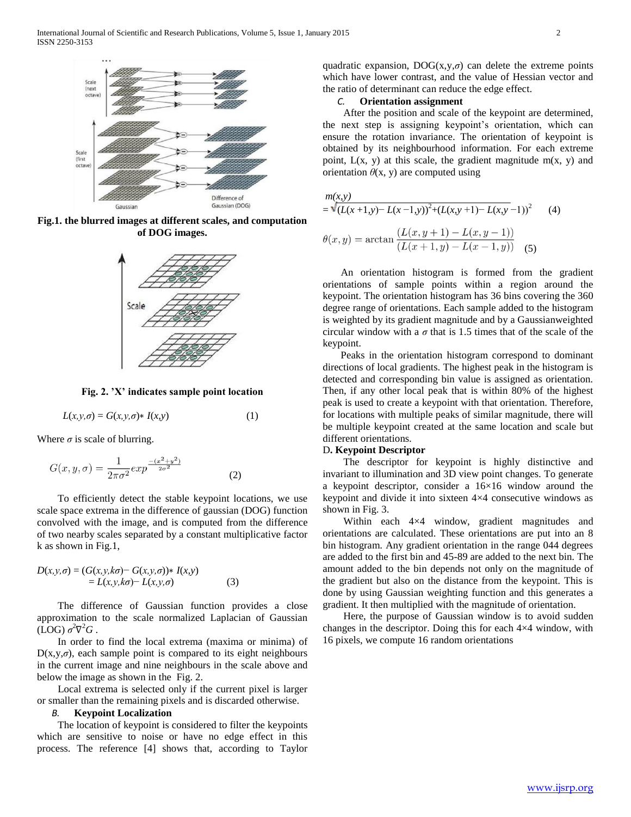

**Fig.1. the blurred images at different scales, and computation of DOG images.**



**Fig. 2. 'X' indicates sample point location**

$$
L(x, y, \sigma) = G(x, y, \sigma) * I(x, y)
$$
\n<sup>(1)</sup>

Where  $\sigma$  is scale of blurring.

$$
G(x, y, \sigma) = \frac{1}{2\pi\sigma^2} \exp^{\frac{-(x^2 + y^2)}{2\sigma^2}} \tag{2}
$$

 To efficiently detect the stable keypoint locations, we use scale space extrema in the difference of gaussian (DOG) function convolved with the image, and is computed from the difference of two nearby scales separated by a constant multiplicative factor k as shown in Fig.1,

$$
D(x, y, \sigma) = (G(x, y, k\sigma) - G(x, y, \sigma)) * I(x, y)
$$
  
= L(x, y, k\sigma) - L(x, y, \sigma) (3)

 The difference of Gaussian function provides a close approximation to the scale normalized Laplacian of Gaussian  $(LOG)$   $\sigma^2 \nabla^2 G$ .

 In order to find the local extrema (maxima or minima) of  $D(x,y,\sigma)$ , each sample point is compared to its eight neighbours in the current image and nine neighbours in the scale above and below the image as shown in the Fig. 2.

 Local extrema is selected only if the current pixel is larger or smaller than the remaining pixels and is discarded otherwise.

## *B.* **Keypoint Localization**

 The location of keypoint is considered to filter the keypoints which are sensitive to noise or have no edge effect in this process. The reference [4] shows that, according to Taylor

quadratic expansion,  $DOG(x,y,\sigma)$  can delete the extreme points which have lower contrast, and the value of Hessian vector and the ratio of determinant can reduce the edge effect.

## *C.* **Orientation assignment**

 After the position and scale of the keypoint are determined, the next step is assigning keypoint's orientation, which can ensure the rotation invariance. The orientation of keypoint is obtained by its neighbourhood information. For each extreme point,  $L(x, y)$  at this scale, the gradient magnitude m(x, y) and orientation  $\theta$ (x, y) are computed using

*m(x,y)*

$$
= \sqrt{(L(x+1,y)-L(x-1,y))^2 + (L(x,y+1)-L(x,y-1))^2}
$$
 (4)  

$$
\theta(x,y) = \arctan \frac{(L(x,y+1)-L(x,y-1))}{(L(x+1,y)-L(x-1,y))}
$$
 (5)

 An orientation histogram is formed from the gradient orientations of sample points within a region around the keypoint. The orientation histogram has 36 bins covering the 360 degree range of orientations. Each sample added to the histogram is weighted by its gradient magnitude and by a Gaussianweighted circular window with a  $\sigma$  that is 1.5 times that of the scale of the keypoint.

 Peaks in the orientation histogram correspond to dominant directions of local gradients. The highest peak in the histogram is detected and corresponding bin value is assigned as orientation. Then, if any other local peak that is within 80% of the highest peak is used to create a keypoint with that orientation. Therefore, for locations with multiple peaks of similar magnitude, there will be multiple keypoint created at the same location and scale but different orientations.

## D**. Keypoint Descriptor**

 The descriptor for keypoint is highly distinctive and invariant to illumination and 3D view point changes. To generate a keypoint descriptor, consider a 16×16 window around the keypoint and divide it into sixteen 4×4 consecutive windows as shown in Fig. 3.

Within each  $4\times4$  window, gradient magnitudes and orientations are calculated. These orientations are put into an 8 bin histogram. Any gradient orientation in the range 044 degrees are added to the first bin and 45-89 are added to the next bin. The amount added to the bin depends not only on the magnitude of the gradient but also on the distance from the keypoint. This is done by using Gaussian weighting function and this generates a gradient. It then multiplied with the magnitude of orientation.

 Here, the purpose of Gaussian window is to avoid sudden changes in the descriptor. Doing this for each 4×4 window, with 16 pixels, we compute 16 random orientations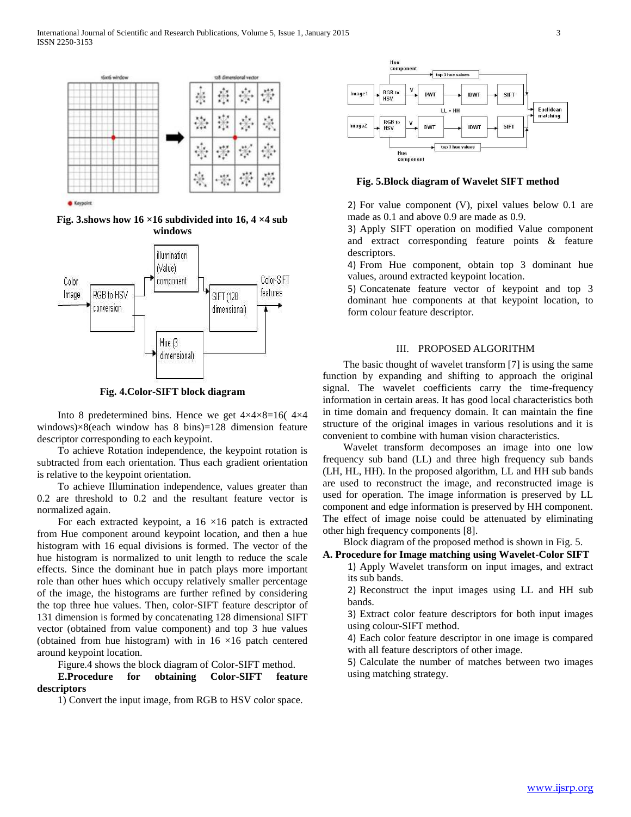

**Fig. 3.shows how 16 ×16 subdivided into 16, 4 ×4 sub windows**



**Fig. 4.Color-SIFT block diagram**

Into 8 predetermined bins. Hence we get  $4 \times 4 \times 8 = 16(4 \times 4)$ windows) $\times$ 8(each window has 8 bins)=128 dimension feature descriptor corresponding to each keypoint.

 To achieve Rotation independence, the keypoint rotation is subtracted from each orientation. Thus each gradient orientation is relative to the keypoint orientation.

 To achieve Illumination independence, values greater than 0.2 are threshold to 0.2 and the resultant feature vector is normalized again.

For each extracted keypoint, a  $16 \times 16$  patch is extracted from Hue component around keypoint location, and then a hue histogram with 16 equal divisions is formed. The vector of the hue histogram is normalized to unit length to reduce the scale effects. Since the dominant hue in patch plays more important role than other hues which occupy relatively smaller percentage of the image, the histograms are further refined by considering the top three hue values. Then, color-SIFT feature descriptor of 131 dimension is formed by concatenating 128 dimensional SIFT vector (obtained from value component) and top 3 hue values (obtained from hue histogram) with in  $16 \times 16$  patch centered around keypoint location.

Figure.4 shows the block diagram of Color-SIFT method.

## **E.Procedure for obtaining Color-SIFT feature descriptors**

1) Convert the input image, from RGB to HSV color space.



**Fig. 5.Block diagram of Wavelet SIFT method**

2) For value component (V), pixel values below 0.1 are made as 0.1 and above 0.9 are made as 0.9.

3) Apply SIFT operation on modified Value component and extract corresponding feature points & feature descriptors.

4) From Hue component, obtain top 3 dominant hue values, around extracted keypoint location.

5) Concatenate feature vector of keypoint and top 3 dominant hue components at that keypoint location, to form colour feature descriptor.

## III. PROPOSED ALGORITHM

 The basic thought of wavelet transform [7] is using the same function by expanding and shifting to approach the original signal. The wavelet coefficients carry the time-frequency information in certain areas. It has good local characteristics both in time domain and frequency domain. It can maintain the fine structure of the original images in various resolutions and it is convenient to combine with human vision characteristics.

 Wavelet transform decomposes an image into one low frequency sub band (LL) and three high frequency sub bands (LH, HL, HH). In the proposed algorithm, LL and HH sub bands are used to reconstruct the image, and reconstructed image is used for operation. The image information is preserved by LL component and edge information is preserved by HH component. The effect of image noise could be attenuated by eliminating other high frequency components [8].

Block diagram of the proposed method is shown in Fig. 5.

#### **A. Procedure for Image matching using Wavelet-Color SIFT**

1) Apply Wavelet transform on input images, and extract its sub bands.

2) Reconstruct the input images using LL and HH sub bands.

3) Extract color feature descriptors for both input images using colour-SIFT method.

4) Each color feature descriptor in one image is compared with all feature descriptors of other image.

5) Calculate the number of matches between two images using matching strategy.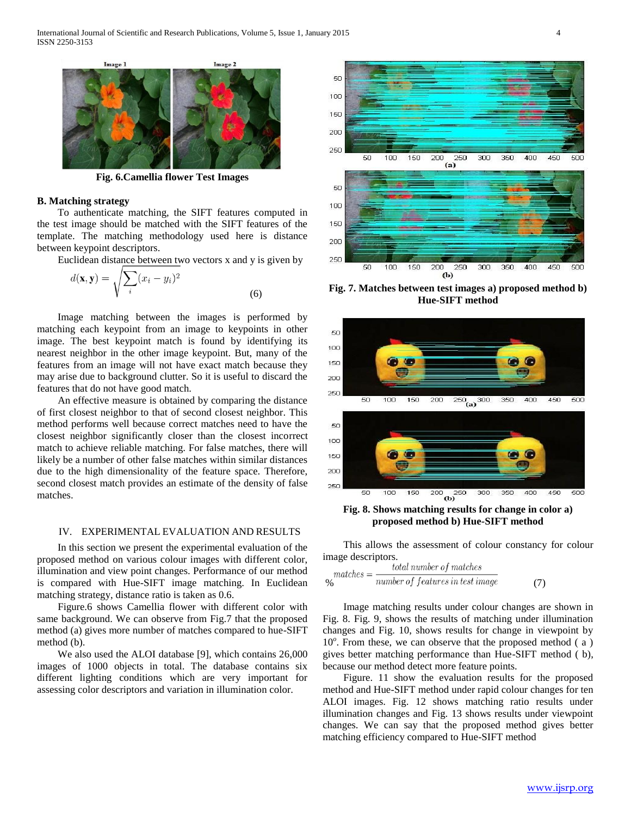

**Fig. 6.Camellia flower Test Images**

#### **B. Matching strategy**

 To authenticate matching, the SIFT features computed in the test image should be matched with the SIFT features of the template. The matching methodology used here is distance between keypoint descriptors.

Euclidean distance between two vectors x and y is given by

$$
d(\mathbf{x}, \mathbf{y}) = \sqrt{\sum_{i} (x_i - y_i)^2}
$$
\n(6)

 Image matching between the images is performed by matching each keypoint from an image to keypoints in other image. The best keypoint match is found by identifying its nearest neighbor in the other image keypoint. But, many of the features from an image will not have exact match because they may arise due to background clutter. So it is useful to discard the features that do not have good match.

 An effective measure is obtained by comparing the distance of first closest neighbor to that of second closest neighbor. This method performs well because correct matches need to have the closest neighbor significantly closer than the closest incorrect match to achieve reliable matching. For false matches, there will likely be a number of other false matches within similar distances due to the high dimensionality of the feature space. Therefore, second closest match provides an estimate of the density of false matches.

## IV. EXPERIMENTAL EVALUATION AND RESULTS

 In this section we present the experimental evaluation of the proposed method on various colour images with different color, illumination and view point changes. Performance of our method is compared with Hue-SIFT image matching. In Euclidean matching strategy, distance ratio is taken as 0.6.

 Figure.6 shows Camellia flower with different color with same background. We can observe from Fig.7 that the proposed method (a) gives more number of matches compared to hue-SIFT method (b).

 We also used the ALOI database [9], which contains 26,000 images of 1000 objects in total. The database contains six different lighting conditions which are very important for assessing color descriptors and variation in illumination color.



**Fig. 7. Matches between test images a) proposed method b) Hue-SIFT method**



**proposed method b) Hue-SIFT method**

 This allows the assessment of colour constancy for colour image descriptors.

$$
p_0
$$
\n
$$
p_0
$$
\n
$$
p_0
$$
\n
$$
p_1
$$
\n
$$
p_0
$$
\n
$$
p_1
$$
\n
$$
p_0
$$
\n
$$
p_1
$$
\n
$$
p_2
$$
\n
$$
p_1
$$
\n
$$
p_2
$$
\n
$$
p_2
$$
\n
$$
p_1
$$
\n
$$
p_2
$$
\n
$$
p_1
$$
\n
$$
p_2
$$
\n
$$
p_2
$$
\n
$$
p_3
$$
\n
$$
p_4
$$
\n
$$
p_5
$$
\n
$$
p_6
$$
\n
$$
p_7
$$
\n
$$
p_8
$$
\n
$$
p_9
$$
\n
$$
p_8
$$
\n
$$
p_9
$$
\n
$$
p_9
$$
\n
$$
p_9
$$
\n
$$
p_9
$$
\n
$$
p_9
$$
\n
$$
p_9
$$
\n
$$
p_9
$$
\n
$$
p_9
$$
\n
$$
p_9
$$
\n
$$
p_9
$$
\n
$$
p_9
$$
\n
$$
p_9
$$
\n
$$
p_9
$$
\n
$$
p_9
$$
\n
$$
p_9
$$
\n
$$
p_9
$$
\n
$$
p_9
$$
\n
$$
p_9
$$
\n
$$
p_9
$$
\n
$$
p_9
$$
\n
$$
p_9
$$
\n
$$
p_9
$$
\n
$$
p_9
$$
\n
$$
p_9
$$
\n
$$
p_9
$$
\n
$$
p_9
$$
\n
$$
p_9
$$
\n
$$
p_9
$$
\n
$$
p_9
$$
\n
$$
p_9
$$
\n
$$
p_9
$$
\n
$$
p_9
$$
\n
$$
p_9
$$
\n
$$
p_9
$$

 Image matching results under colour changes are shown in Fig. 8. Fig. 9, shows the results of matching under illumination changes and Fig. 10, shows results for change in viewpoint by 10<sup>o</sup>. From these, we can observe that the proposed method (a) gives better matching performance than Hue-SIFT method ( b), because our method detect more feature points.

 Figure. 11 show the evaluation results for the proposed method and Hue-SIFT method under rapid colour changes for ten ALOI images. Fig. 12 shows matching ratio results under illumination changes and Fig. 13 shows results under viewpoint changes. We can say that the proposed method gives better matching efficiency compared to Hue-SIFT method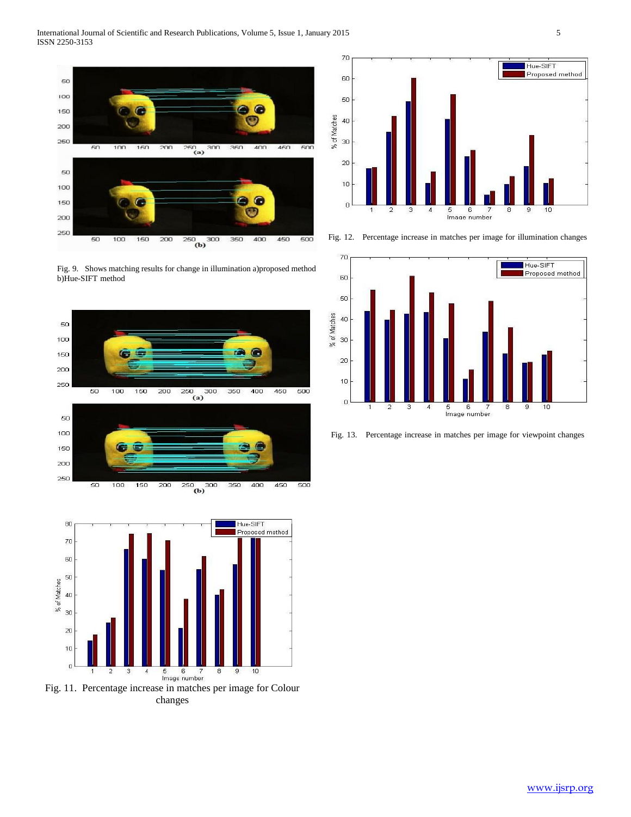

Fig. 9. Shows matching results for change in illumination a)proposed method b)Hue-SIFT method





Fig. 11. Percentage increase in matches per image for Colour changes



Fig. 12. Percentage increase in matches per image for illumination changes



Fig. 13. Percentage increase in matches per image for viewpoint changes